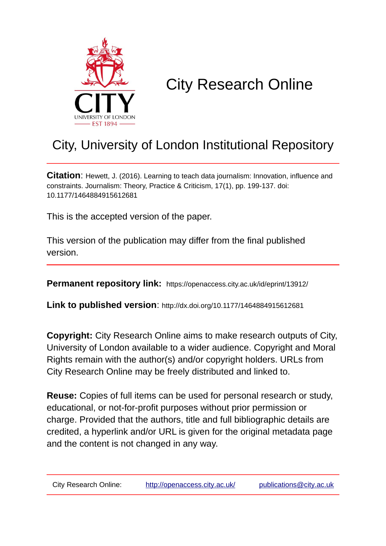

# City Research Online

## City, University of London Institutional Repository

**Citation**: Hewett, J. (2016). Learning to teach data journalism: Innovation, influence and constraints. Journalism: Theory, Practice & Criticism, 17(1), pp. 199-137. doi: 10.1177/1464884915612681

This is the accepted version of the paper.

This version of the publication may differ from the final published version.

**Permanent repository link:** https://openaccess.city.ac.uk/id/eprint/13912/

**Link to published version**: http://dx.doi.org/10.1177/1464884915612681

**Copyright:** City Research Online aims to make research outputs of City, University of London available to a wider audience. Copyright and Moral Rights remain with the author(s) and/or copyright holders. URLs from City Research Online may be freely distributed and linked to.

**Reuse:** Copies of full items can be used for personal research or study, educational, or not-for-profit purposes without prior permission or charge. Provided that the authors, title and full bibliographic details are credited, a hyperlink and/or URL is given for the original metadata page and the content is not changed in any way.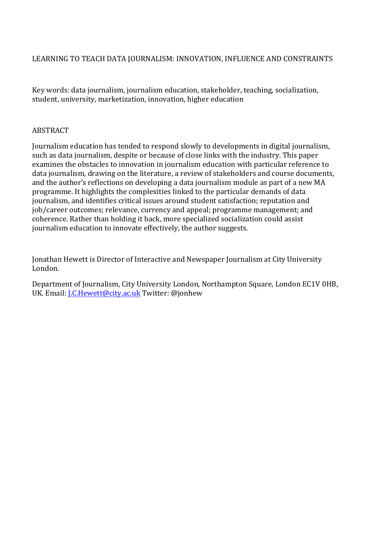#### LEARNING TO TEACH DATA JOURNALISM: INNOVATION, INFLUENCE AND CONSTRAINTS

Key words: data journalism, journalism education, stakeholder, teaching, socialization, student, university, marketization, innovation, higher education

#### ABSTRACT

Journalism education has tended to respond slowly to developments in digital journalism, such as data journalism, despite or because of close links with the industry. This paper examines the obstacles to innovation in journalism education with particular reference to data journalism, drawing on the literature, a review of stakeholders and course documents, and the author's reflections on developing a data journalism module as part of a new MA programme. It highlights the complexities linked to the particular demands of data journalism, and identifies critical issues around student satisfaction; reputation and job/career outcomes; relevance, currency and appeal; programme management; and coherence. Rather than holding it back, more specialized socialization could assist journalism education to innovate effectively, the author suggests.

Jonathan Hewett is Director of Interactive and Newspaper Journalism at City University London. 

Department of Journalism, City University London, Northampton Square, London EC1V 0HB, UK. Email: *J.C.Hewett@city.ac.uk* Twitter: @jonhew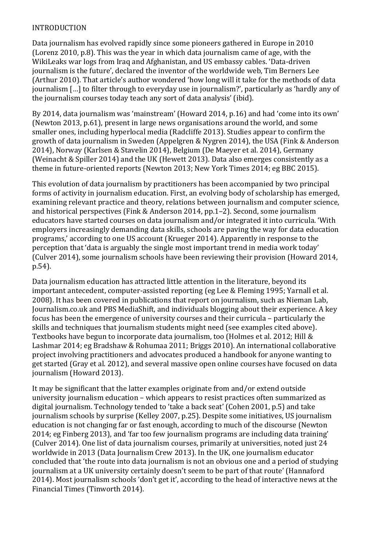#### INTRODUCTION

Data iournalism has evolved rapidly since some pioneers gathered in Europe in 2010 (Lorenz 2010, p.8). This was the year in which data journalism came of age, with the WikiLeaks war logs from Iraq and Afghanistan, and US embassy cables. 'Data-driven journalism is the future', declared the inventor of the worldwide web. Tim Berners Lee (Arthur 2010). That article's author wondered 'how long will it take for the methods of data journalism [...] to filter through to everyday use in journalism?', particularly as 'hardly any of the journalism courses today teach any sort of data analysis' (ibid).

By 2014, data journalism was 'mainstream' (Howard 2014, p.16) and had 'come into its own' (Newton 2013,  $p.61$ ), present in large news organisations around the world, and some smaller ones, including hyperlocal media (Radcliffe 2013). Studies appear to confirm the growth of data journalism in Sweden (Appelgren & Nygren 2014), the USA (Fink & Anderson 2014), Norway (Karlsen & Stavelin 2014), Belgium (De Maeyer et al. 2014), Germany (Weinacht & Spiller 2014) and the UK (Hewett 2013). Data also emerges consistently as a theme in future-oriented reports (Newton 2013; New York Times 2014; eg BBC 2015).

This evolution of data journalism by practitioners has been accompanied by two principal forms of activity in journalism education. First, an evolving body of scholarship has emerged, examining relevant practice and theory, relations between journalism and computer science, and historical perspectives (Fink & Anderson 2014, pp.1–2). Second, some journalism educators have started courses on data journalism and/or integrated it into curricula. 'With employers increasingly demanding data skills, schools are paving the way for data education programs,' according to one US account (Krueger 2014). Apparently in response to the perception that 'data is arguably the single most important trend in media work today' (Culver 2014), some journalism schools have been reviewing their provision (Howard 2014, p.54).

Data iournalism education has attracted little attention in the literature, beyond its important antecedent, computer-assisted reporting (eg Lee & Fleming 1995; Yarnall et al. 2008). It has been covered in publications that report on journalism, such as Nieman Lab, Journalism.co.uk and PBS MediaShift, and individuals blogging about their experience. A key focus has been the emergence of university courses and their curricula – particularly the skills and techniques that journalism students might need (see examples cited above). Textbooks have begun to incorporate data journalism, too (Holmes et al. 2012; Hill & Lashmar 2014; eg Bradshaw & Rohumaa 2011; Briggs 2010). An international collaborative project involving practitioners and advocates produced a handbook for anyone wanting to get started (Gray et al. 2012), and several massive open online courses have focused on data journalism (Howard 2013).

It may be significant that the latter examples originate from and/or extend outside university journalism education – which appears to resist practices often summarized as digital journalism. Technology tended to 'take a back seat' (Cohen 2001, p.5) and take journalism schools by surprise (Kelley 2007, p.25). Despite some initiatives, US journalism education is not changing far or fast enough, according to much of the discourse (Newton 2014; eg Finberg 2013), and 'far too few journalism programs are including data training' (Culver 2014). One list of data journalism courses, primarily at universities, noted just 24 worldwide in 2013 (Data Journalism Crew 2013). In the UK, one journalism educator concluded that 'the route into data journalism is not an obvious one and a period of studying journalism at a UK university certainly doesn't seem to be part of that route' (Hannaford 2014). Most journalism schools 'don't get it', according to the head of interactive news at the Financial Times (Tinworth 2014).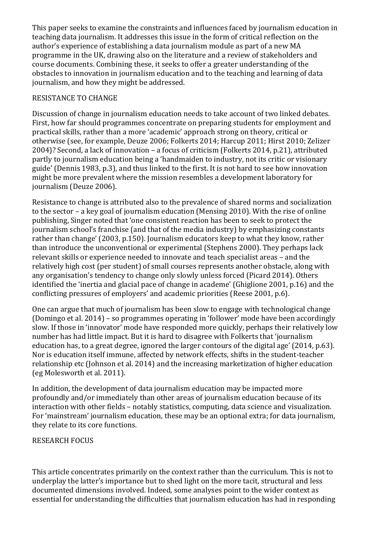This paper seeks to examine the constraints and influences faced by journalism education in teaching data journalism. It addresses this issue in the form of critical reflection on the author's experience of establishing a data journalism module as part of a new MA programme in the UK, drawing also on the literature and a review of stakeholders and course documents. Combining these, it seeks to offer a greater understanding of the obstacles to innovation in journalism education and to the teaching and learning of data journalism, and how they might be addressed.

## RESISTANCE TO CHANGE

Discussion of change in journalism education needs to take account of two linked debates. First, how far should programmes concentrate on preparing students for employment and practical skills, rather than a more 'academic' approach strong on theory, critical or otherwise (see, for example, Deuze 2006; Folkerts 2014; Harcup 2011; Hirst 2010; Zelizer 2004)? Second, a lack of innovation – a focus of criticism (Folkerts 2014, p.21), attributed partly to journalism education being a 'handmaiden to industry, not its critic or visionary guide' (Dennis 1983, p.3), and thus linked to the first. It is not hard to see how innovation might be more prevalent where the mission resembles a development laboratory for journalism (Deuze 2006).

Resistance to change is attributed also to the prevalence of shared norms and socialization to the sector – a key goal of journalism education (Mensing 2010). With the rise of online publishing, Singer noted that 'one consistent reaction has been to seek to protect the journalism school's franchise (and that of the media industry) by emphasizing constants rather than change' (2003, p.150). Journalism educators keep to what they know, rather than introduce the unconventional or experimental (Stephens 2000). They perhaps lack relevant skills or experience needed to innovate and teach specialist areas – and the relatively high cost (per student) of small courses represents another obstacle, along with any organisation's tendency to change only slowly unless forced (Picard 2014). Others identified the 'inertia and glacial pace of change in academe' (Ghiglione 2001, p.16) and the conflicting pressures of employers' and academic priorities (Reese 2001, p.6).

One can argue that much of journalism has been slow to engage with technological change (Domingo et al. 2014) – so programmes operating in 'follower' mode have been accordingly slow. If those in 'innovator' mode have responded more quickly, perhaps their relatively low number has had little impact. But it is hard to disagree with Folkerts that 'journalism education has, to a great degree, ignored the larger contours of the digital age' (2014, p.63). Nor is education itself immune, affected by network effects, shifts in the student-teacher relationship etc (Johnson et al. 2014) and the increasing marketization of higher education (eg Molesworth et al. 2011).

In addition, the development of data journalism education may be impacted more profoundly and/or immediately than other areas of journalism education because of its interaction with other fields – notably statistics, computing, data science and visualization. For 'mainstream' journalism education, these may be an optional extra; for data journalism, they relate to its core functions.

## RESEARCH FOCUS

This article concentrates primarily on the context rather than the curriculum. This is not to underplay the latter's importance but to shed light on the more tacit, structural and less documented dimensions involved. Indeed, some analyses point to the wider context as essential for understanding the difficulties that journalism education has had in responding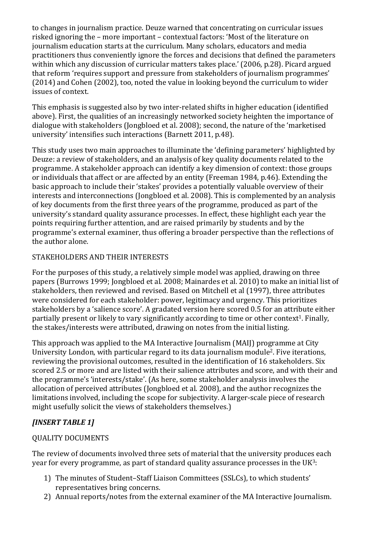to changes in journalism practice. Deuze warned that concentrating on curricular issues risked ignoring the – more important – contextual factors: 'Most of the literature on journalism education starts at the curriculum. Many scholars, educators and media practitioners thus conveniently ignore the forces and decisions that defined the parameters within which any discussion of curricular matters takes place.' (2006, p.28). Picard argued that reform 'requires support and pressure from stakeholders of journalism programmes'  $(2014)$  and Cohen  $(2002)$ , too, noted the value in looking beyond the curriculum to wider issues of context.

This emphasis is suggested also by two inter-related shifts in higher education (identified above). First, the qualities of an increasingly networked society heighten the importance of dialogue with stakeholders (Jongbloed et al. 2008); second, the nature of the 'marketised university' intensifies such interactions (Barnett 2011, p.48).

This study uses two main approaches to illuminate the 'defining parameters' highlighted by Deuze: a review of stakeholders, and an analysis of key quality documents related to the programme. A stakeholder approach can identify a key dimension of context: those groups or individuals that affect or are affected by an entity (Freeman 1984, p.46). Extending the basic approach to include their 'stakes' provides a potentially valuable overview of their interests and interconnections (Jongbloed et al. 2008). This is complemented by an analysis of key documents from the first three years of the programme, produced as part of the university's standard quality assurance processes. In effect, these highlight each year the points requiring further attention, and are raised primarily by students and by the programme's external examiner, thus offering a broader perspective than the reflections of the author alone.

## STAKEHOLDERS AND THEIR INTERESTS

For the purposes of this study, a relatively simple model was applied, drawing on three papers (Burrows 1999; Jongbloed et al. 2008; Mainardes et al. 2010) to make an initial list of stakeholders, then reviewed and revised. Based on Mitchell et al (1997), three attributes were considered for each stakeholder: power, legitimacy and urgency. This prioritizes stakeholders by a 'salience score'. A gradated version here scored 0.5 for an attribute either partially present or likely to vary significantly according to time or other context<sup>1</sup>. Finally, the stakes/interests were attributed, drawing on notes from the initial listing.

This approach was applied to the MA Interactive Journalism (MAIJ) programme at City University London, with particular regard to its data journalism module<sup>2</sup>. Five iterations, reviewing the provisional outcomes, resulted in the identification of 16 stakeholders. Six scored 2.5 or more and are listed with their salience attributes and score, and with their and the programme's 'interests/stake'. (As here, some stakeholder analysis involves the allocation of perceived attributes (Jongbloed et al. 2008), and the author recognizes the limitations involved, including the scope for subjectivity. A larger-scale piece of research might usefully solicit the views of stakeholders themselves.)

## *[INSERT TABLE 1]*

## QUALITY DOCUMENTS

The review of documents involved three sets of material that the university produces each year for every programme, as part of standard quality assurance processes in the  $UK<sup>3</sup>$ :

- 1) The minutes of Student-Staff Liaison Committees (SSLCs), to which students' representatives bring concerns.
- 2) Annual reports/notes from the external examiner of the MA Interactive Journalism.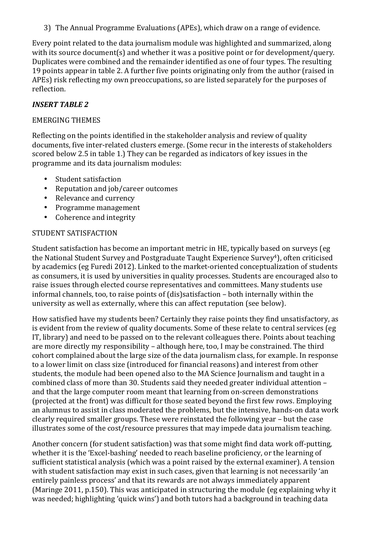3) The Annual Programme Evaluations (APEs), which draw on a range of evidence.

Every point related to the data journalism module was highlighted and summarized, along with its source document(s) and whether it was a positive point or for development/query. Duplicates were combined and the remainder identified as one of four types. The resulting 19 points appear in table 2. A further five points originating only from the author (raised in APEs) risk reflecting my own preoccupations, so are listed separately for the purposes of reflection.

## **INSERT TABLE 2**

#### EMERGING THEMES

Reflecting on the points identified in the stakeholder analysis and review of quality documents, five inter-related clusters emerge. (Some recur in the interests of stakeholders scored below 2.5 in table 1.) They can be regarded as indicators of key issues in the programme and its data journalism modules:

- Student satisfaction
- Reputation and job/career outcomes
- Relevance and currency
- Programme management
- Coherence and integrity

## STUDENT SATISFACTION

Student satisfaction has become an important metric in HE, typically based on surveys (eg the National Student Survey and Postgraduate Taught Experience Survey<sup>4</sup>), often criticised by academics (eg Furedi 2012). Linked to the market-oriented conceptualization of students as consumers, it is used by universities in quality processes. Students are encouraged also to raise issues through elected course representatives and committees. Many students use informal channels, too, to raise points of (dis)satisfaction – both internally within the university as well as externally, where this can affect reputation (see below).

How satisfied have my students been? Certainly they raise points they find unsatisfactory, as is evident from the review of quality documents. Some of these relate to central services (eg IT, library) and need to be passed on to the relevant colleagues there. Points about teaching are more directly my responsibility – although here, too, I may be constrained. The third cohort complained about the large size of the data journalism class, for example. In response to a lower limit on class size (introduced for financial reasons) and interest from other students, the module had been opened also to the MA Science Journalism and taught in a combined class of more than 30. Students said they needed greater individual attention and that the large computer room meant that learning from on-screen demonstrations (projected at the front) was difficult for those seated beyond the first few rows. Employing an alumnus to assist in class moderated the problems, but the intensive, hands-on data work clearly required smaller groups. These were reinstated the following year – but the case illustrates some of the cost/resource pressures that may impede data journalism teaching.

Another concern (for student satisfaction) was that some might find data work off-putting. whether it is the 'Excel-bashing' needed to reach baseline proficiency, or the learning of sufficient statistical analysis (which was a point raised by the external examiner). A tension with student satisfaction may exist in such cases, given that learning is not necessarily 'an entirely painless process' and that its rewards are not always immediately apparent (Maringe 2011, p.150). This was anticipated in structuring the module (eg explaining why it was needed; highlighting 'quick wins') and both tutors had a background in teaching data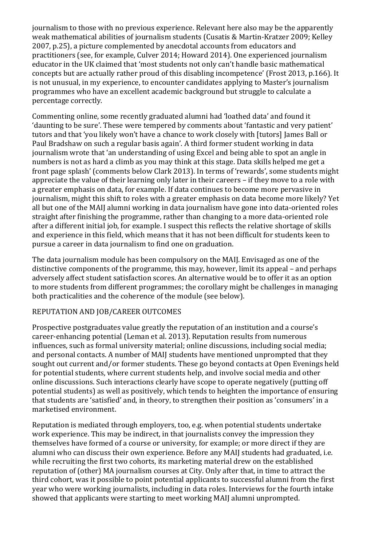journalism to those with no previous experience. Relevant here also may be the apparently weak mathematical abilities of journalism students (Cusatis & Martin-Kratzer 2009; Kelley 2007, p.25), a picture complemented by anecdotal accounts from educators and practitioners (see, for example, Culver 2014; Howard 2014). One experienced journalism educator in the UK claimed that 'most students not only can't handle basic mathematical concepts but are actually rather proud of this disabling incompetence' (Frost 2013, p.166). It is not unusual, in my experience, to encounter candidates applying to Master's journalism programmes who have an excellent academic background but struggle to calculate a percentage correctly.

Commenting online, some recently graduated alumni had 'loathed data' and found it 'daunting to be sure'. These were tempered by comments about 'fantastic and very patient' tutors and that 'you likely won't have a chance to work closely with [tutors] James Ball or Paul Bradshaw on such a regular basis again'. A third former student working in data journalism wrote that 'an understanding of using Excel and being able to spot an angle in numbers is not as hard a climb as you may think at this stage. Data skills helped me get a front page splash' (comments below Clark 2013). In terms of 'rewards', some students might appreciate the value of their learning only later in their careers – if they move to a role with a greater emphasis on data, for example. If data continues to become more pervasive in journalism, might this shift to roles with a greater emphasis on data become more likely? Yet all but one of the MAIJ alumni working in data journalism have gone into data-oriented roles straight after finishing the programme, rather than changing to a more data-oriented role after a different initial job, for example. I suspect this reflects the relative shortage of skills and experience in this field, which means that it has not been difficult for students keen to pursue a career in data journalism to find one on graduation.

The data journalism module has been compulsory on the MAII. Envisaged as one of the distinctive components of the programme, this may, however, limit its appeal – and perhaps adversely affect student satisfaction scores. An alternative would be to offer it as an option to more students from different programmes; the corollary might be challenges in managing both practicalities and the coherence of the module (see below).

## REPUTATION AND JOB/CAREER OUTCOMES

Prospective postgraduates value greatly the reputation of an institution and a course's career-enhancing potential (Leman et al. 2013). Reputation results from numerous influences, such as formal university material; online discussions, including social media; and personal contacts. A number of MAIJ students have mentioned unprompted that they sought out current and/or former students. These go beyond contacts at Open Evenings held for potential students, where current students help, and involve social media and other online discussions. Such interactions clearly have scope to operate negatively (putting off potential students) as well as positively, which tends to heighten the importance of ensuring that students are 'satisfied' and, in theory, to strengthen their position as 'consumers' in a marketised environment.

Reputation is mediated through employers, too, e.g. when potential students undertake work experience. This may be indirect, in that journalists convey the impression they themselves have formed of a course or university, for example; or more direct if they are alumni who can discuss their own experience. Before any MAIJ students had graduated, i.e. while recruiting the first two cohorts, its marketing material drew on the established reputation of (other) MA journalism courses at City. Only after that, in time to attract the third cohort, was it possible to point potential applicants to successful alumni from the first year who were working journalists, including in data roles. Interviews for the fourth intake showed that applicants were starting to meet working MAIJ alumni unprompted.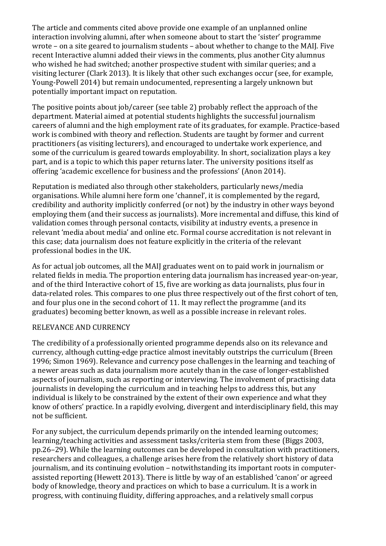The article and comments cited above provide one example of an unplanned online interaction involving alumni, after when someone about to start the 'sister' programme wrote – on a site geared to journalism students – about whether to change to the MAIJ. Five recent Interactive alumni added their views in the comments, plus another City alumnus who wished he had switched; another prospective student with similar queries; and a visiting lecturer (Clark 2013). It is likely that other such exchanges occur (see, for example, Young-Powell 2014) but remain undocumented, representing a largely unknown but potentially important impact on reputation.

The positive points about  $job/c$ areer (see table 2) probably reflect the approach of the department. Material aimed at potential students highlights the successful journalism careers of alumni and the high employment rate of its graduates, for example. Practice-based work is combined with theory and reflection. Students are taught by former and current practitioners (as visiting lecturers), and encouraged to undertake work experience, and some of the curriculum is geared towards employability. In short, socialization plays a key part, and is a topic to which this paper returns later. The university positions itself as offering 'academic excellence for business and the professions' (Anon 2014).

Reputation is mediated also through other stakeholders, particularly news/media organisations. While alumni here form one 'channel', it is complemented by the regard, credibility and authority implicitly conferred (or not) by the industry in other ways beyond employing them (and their success as journalists). More incremental and diffuse, this kind of validation comes through personal contacts, visibility at industry events, a presence in relevant 'media about media' and online etc. Formal course accreditation is not relevant in this case; data journalism does not feature explicitly in the criteria of the relevant professional bodies in the UK.

As for actual job outcomes, all the MAIJ graduates went on to paid work in journalism or related fields in media. The proportion entering data journalism has increased year-on-year, and of the third Interactive cohort of 15, five are working as data journalists, plus four in data-related roles. This compares to one plus three respectively out of the first cohort of ten, and four plus one in the second cohort of 11. It may reflect the programme (and its graduates) becoming better known, as well as a possible increase in relevant roles.

#### RELEVANCE AND CURRENCY

The credibility of a professionally oriented programme depends also on its relevance and currency, although cutting-edge practice almost inevitably outstrips the curriculum (Breen 1996; Simon 1969). Relevance and currency pose challenges in the learning and teaching of a newer areas such as data journalism more acutely than in the case of longer-established aspects of journalism, such as reporting or interviewing. The involvement of practising data journalists in developing the curriculum and in teaching helps to address this, but any individual is likely to be constrained by the extent of their own experience and what they know of others' practice. In a rapidly evolving, divergent and interdisciplinary field, this may not be sufficient.

For any subject, the curriculum depends primarily on the intended learning outcomes; learning/teaching activities and assessment tasks/criteria stem from these (Biggs 2003, pp.26–29). While the learning outcomes can be developed in consultation with practitioners, researchers and colleagues, a challenge arises here from the relatively short history of data journalism, and its continuing evolution – notwithstanding its important roots in computerassisted reporting (Hewett 2013). There is little by way of an established 'canon' or agreed body of knowledge, theory and practices on which to base a curriculum. It is a work in progress, with continuing fluidity, differing approaches, and a relatively small corpus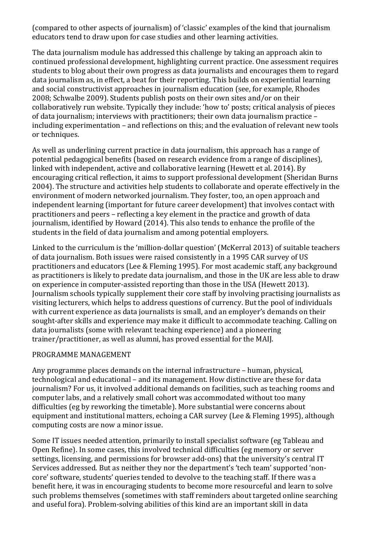(compared to other aspects of journalism) of 'classic' examples of the kind that journalism educators tend to draw upon for case studies and other learning activities.

The data journalism module has addressed this challenge by taking an approach akin to continued professional development, highlighting current practice. One assessment requires students to blog about their own progress as data journalists and encourages them to regard data journalism as, in effect, a beat for their reporting. This builds on experiential learning and social constructivist approaches in journalism education (see, for example, Rhodes 2008; Schwalbe 2009). Students publish posts on their own sites and/or on their collaboratively run website. Typically they include: 'how to' posts; critical analysis of pieces of data journalism; interviews with practitioners; their own data journalism practice including experimentation – and reflections on this; and the evaluation of relevant new tools or techniques.

As well as underlining current practice in data journalism, this approach has a range of potential pedagogical benefits (based on research evidence from a range of disciplines), linked with independent, active and collaborative learning (Hewett et al. 2014). By encouraging critical reflection, it aims to support professional development (Sheridan Burns 2004). The structure and activities help students to collaborate and operate effectively in the environment of modern networked journalism. They foster, too, an open approach and independent learning (important for future career development) that involves contact with practitioners and peers – reflecting a key element in the practice and growth of data journalism, identified by Howard (2014). This also tends to enhance the profile of the students in the field of data journalism and among potential employers.

Linked to the curriculum is the 'million-dollar question' (McKerral 2013) of suitable teachers of data journalism. Both issues were raised consistently in a 1995 CAR survey of US practitioners and educators (Lee & Fleming 1995). For most academic staff, any background as practitioners is likely to predate data journalism, and those in the UK are less able to draw on experience in computer-assisted reporting than those in the USA (Hewett 2013). Journalism schools typically supplement their core staff by involving practising journalists as visiting lecturers, which helps to address questions of currency. But the pool of individuals with current experience as data journalists is small, and an employer's demands on their sought-after skills and experience may make it difficult to accommodate teaching. Calling on data journalists (some with relevant teaching experience) and a pioneering trainer/practitioner, as well as alumni, has proved essential for the MAIJ.

#### PROGRAMME MANAGEMENT

Any programme places demands on the internal infrastructure – human, physical, technological and educational – and its management. How distinctive are these for data journalism? For us, it involved additional demands on facilities, such as teaching rooms and computer labs, and a relatively small cohort was accommodated without too many difficulties (eg by reworking the timetable). More substantial were concerns about equipment and institutional matters, echoing a CAR survey (Lee & Fleming 1995), although computing costs are now a minor issue.

Some IT issues needed attention, primarily to install specialist software (eg Tableau and Open Refine). In some cases, this involved technical difficulties (eg memory or server settings, licensing, and permissions for browser add-ons) that the university's central IT Services addressed. But as neither they nor the department's 'tech team' supported 'noncore' software, students' queries tended to devolve to the teaching staff. If there was a benefit here, it was in encouraging students to become more resourceful and learn to solve such problems themselves (sometimes with staff reminders about targeted online searching and useful fora). Problem-solving abilities of this kind are an important skill in data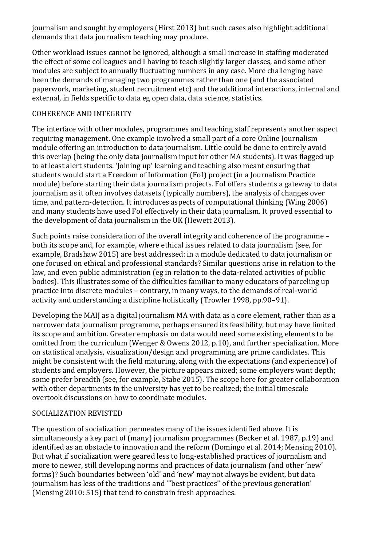journalism and sought by employers (Hirst 2013) but such cases also highlight additional demands that data journalism teaching may produce.

Other workload issues cannot be ignored, although a small increase in staffing moderated the effect of some colleagues and I having to teach slightly larger classes, and some other modules are subject to annually fluctuating numbers in any case. More challenging have been the demands of managing two programmes rather than one (and the associated paperwork, marketing, student recruitment etc) and the additional interactions, internal and external, in fields specific to data eg open data, data science, statistics.

#### COHERENCE AND INTEGRITY

The interface with other modules, programmes and teaching staff represents another aspect requiring management. One example involved a small part of a core Online Journalism module offering an introduction to data journalism. Little could be done to entirely avoid this overlap (being the only data journalism input for other MA students). It was flagged up to at least alert students. 'Joining up' learning and teaching also meant ensuring that students would start a Freedom of Information (FoI) project (in a Journalism Practice module) before starting their data journalism projects. FoI offers students a gateway to data journalism as it often involves datasets (typically numbers), the analysis of changes over time, and pattern-detection. It introduces aspects of computational thinking (Wing 2006) and many students have used FoI effectively in their data journalism. It proved essential to the development of data journalism in the UK (Hewett 2013).

Such points raise consideration of the overall integrity and coherence of the programme – both its scope and, for example, where ethical issues related to data journalism (see, for example, Bradshaw 2015) are best addressed: in a module dedicated to data journalism or one focused on ethical and professional standards? Similar questions arise in relation to the law, and even public administration (eg in relation to the data-related activities of public bodies). This illustrates some of the difficulties familiar to many educators of parceling up practice into discrete modules – contrary, in many ways, to the demands of real-world activity and understanding a discipline holistically (Trowler 1998, pp.90-91).

Developing the MAIJ as a digital journalism MA with data as a core element, rather than as a narrower data journalism programme, perhaps ensured its feasibility, but may have limited its scope and ambition. Greater emphasis on data would need some existing elements to be omitted from the curriculum (Wenger & Owens 2012, p.10), and further specialization. More on statistical analysis, visualization/design and programming are prime candidates. This might be consistent with the field maturing, along with the expectations (and experience) of students and employers. However, the picture appears mixed; some employers want depth; some prefer breadth (see, for example, Stabe 2015). The scope here for greater collaboration with other departments in the university has yet to be realized; the initial timescale overtook discussions on how to coordinate modules.

## SOCIALIZATION REVISTED

The question of socialization permeates many of the issues identified above. It is simultaneously a key part of (many) journalism programmes (Becker et al. 1987, p.19) and identified as an obstacle to innovation and the reform (Domingo et al. 2014; Mensing 2010). But what if socialization were geared less to long-established practices of journalism and more to newer, still developing norms and practices of data journalism (and other 'new' forms)? Such boundaries between 'old' and 'new' may not always be evident, but data journalism has less of the traditions and ""best practices" of the previous generation' (Mensing  $2010:515$ ) that tend to constrain fresh approaches.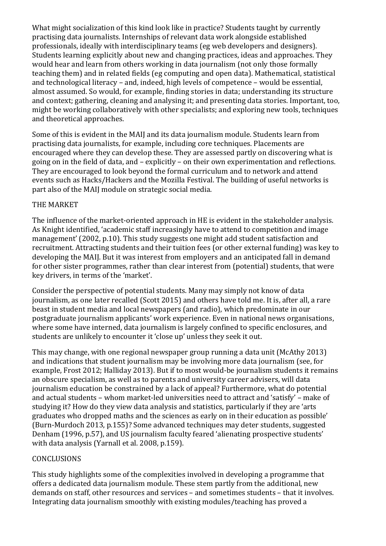What might socialization of this kind look like in practice? Students taught by currently practising data journalists. Internships of relevant data work alongside established professionals, ideally with interdisciplinary teams (eg web developers and designers). Students learning explicitly about new and changing practices, ideas and approaches. They would hear and learn from others working in data journalism (not only those formally teaching them) and in related fields (eg computing and open data). Mathematical, statistical and technological literacy – and, indeed, high levels of competence – would be essential, almost assumed. So would, for example, finding stories in data; understanding its structure and context; gathering, cleaning and analysing it; and presenting data stories. Important, too, might be working collaboratively with other specialists; and exploring new tools, techniques and theoretical approaches.

Some of this is evident in the MAIJ and its data journalism module. Students learn from practising data journalists, for example, including core techniques. Placements are encouraged where they can develop these. They are assessed partly on discovering what is going on in the field of data, and  $-$  explicitly  $-$  on their own experimentation and reflections. They are encouraged to look beyond the formal curriculum and to network and attend events such as Hacks/Hackers and the Mozilla Festival. The building of useful networks is part also of the MAIJ module on strategic social media.

#### THE MARKET

The influence of the market-oriented approach in HE is evident in the stakeholder analysis. As Knight identified, 'academic staff increasingly have to attend to competition and image management' (2002, p.10). This study suggests one might add student satisfaction and recruitment. Attracting students and their tuition fees (or other external funding) was key to developing the MAIJ. But it was interest from employers and an anticipated fall in demand for other sister programmes, rather than clear interest from (potential) students, that were key drivers, in terms of the 'market'.

Consider the perspective of potential students. Many may simply not know of data journalism, as one later recalled (Scott 2015) and others have told me. It is, after all, a rare beast in student media and local newspapers (and radio), which predominate in our postgraduate iournalism applicants' work experience. Even in national news organisations, where some have interned, data journalism is largely confined to specific enclosures, and students are unlikely to encounter it 'close up' unless they seek it out.

This may change, with one regional newspaper group running a data unit (McAthy 2013) and indications that student journalism may be involving more data journalism (see, for example, Frost 2012; Halliday 2013). But if to most would-be journalism students it remains an obscure specialism, as well as to parents and university career advisers, will data journalism education be constrained by a lack of appeal? Furthermore, what do potential and actual students – whom market-led universities need to attract and 'satisfy' – make of studying it? How do they view data analysis and statistics, particularly if they are 'arts graduates who dropped maths and the sciences as early on in their education as possible' (Burn-Murdoch 2013, p.155)? Some advanced techniques may deter students, suggested Denham (1996, p.57), and US journalism faculty feared 'alienating prospective students' with data analysis (Yarnall et al. 2008, p.159).

#### **CONCLUSIONS**

This study highlights some of the complexities involved in developing a programme that offers a dedicated data journalism module. These stem partly from the additional, new demands on staff, other resources and services – and sometimes students – that it involves. Integrating data journalism smoothly with existing modules/teaching has proved a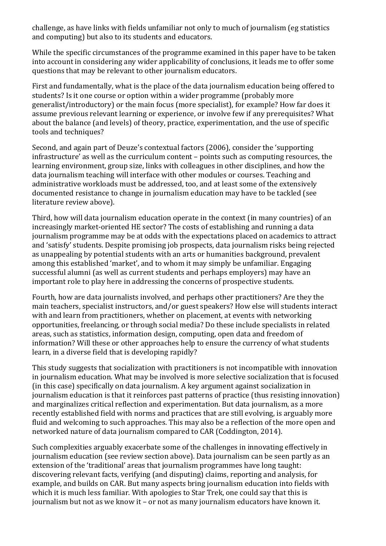challenge, as have links with fields unfamiliar not only to much of journalism (eg statistics and computing) but also to its students and educators.

While the specific circumstances of the programme examined in this paper have to be taken into account in considering any wider applicability of conclusions, it leads me to offer some questions that may be relevant to other journalism educators.

First and fundamentally, what is the place of the data journalism education being offered to students? Is it one course or option within a wider programme (probably more generalist/introductory) or the main focus (more specialist), for example? How far does it assume previous relevant learning or experience, or involve few if any prerequisites? What about the balance (and levels) of theory, practice, experimentation, and the use of specific tools and techniques?

Second, and again part of Deuze's contextual factors (2006), consider the 'supporting infrastructure' as well as the curriculum content - points such as computing resources, the learning environment, group size, links with colleagues in other disciplines, and how the data journalism teaching will interface with other modules or courses. Teaching and administrative workloads must be addressed, too, and at least some of the extensively documented resistance to change in journalism education may have to be tackled (see literature review above).

Third, how will data journalism education operate in the context (in many countries) of an increasingly market-oriented HE sector? The costs of establishing and running a data journalism programme may be at odds with the expectations placed on academics to attract and 'satisfy' students. Despite promising job prospects, data journalism risks being rejected as unappealing by potential students with an arts or humanities background, prevalent among this established 'market', and to whom it may simply be unfamiliar. Engaging successful alumni (as well as current students and perhaps employers) may have an important role to play here in addressing the concerns of prospective students.

Fourth, how are data journalists involved, and perhaps other practitioners? Are they the main teachers, specialist instructors, and/or guest speakers? How else will students interact with and learn from practitioners, whether on placement, at events with networking opportunities, freelancing, or through social media? Do these include specialists in related areas, such as statistics, information design, computing, open data and freedom of information? Will these or other approaches help to ensure the currency of what students learn, in a diverse field that is developing rapidly?

This study suggests that socialization with practitioners is not incompatible with innovation in journalism education. What may be involved is more selective socialization that is focused  $(in this case)$  specifically on data journalism. A key argument against socialization in journalism education is that it reinforces past patterns of practice (thus resisting innovation) and marginalizes critical reflection and experimentation. But data journalism, as a more recently established field with norms and practices that are still evolving, is arguably more fluid and welcoming to such approaches. This may also be a reflection of the more open and networked nature of data journalism compared to CAR (Coddington, 2014).

Such complexities arguably exacerbate some of the challenges in innovating effectively in journalism education (see review section above). Data journalism can be seen partly as an extension of the 'traditional' areas that iournalism programmes have long taught: discovering relevant facts, verifying (and disputing) claims, reporting and analysis, for example, and builds on CAR. But many aspects bring journalism education into fields with which it is much less familiar. With apologies to Star Trek, one could say that this is journalism but not as we know it – or not as many journalism educators have known it.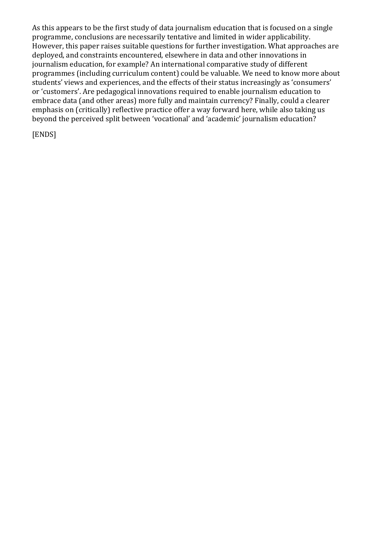As this appears to be the first study of data journalism education that is focused on a single programme, conclusions are necessarily tentative and limited in wider applicability. However, this paper raises suitable questions for further investigation. What approaches are deployed, and constraints encountered, elsewhere in data and other innovations in journalism education, for example? An international comparative study of different programmes (including curriculum content) could be valuable. We need to know more about students' views and experiences, and the effects of their status increasingly as 'consumers' or 'customers'. Are pedagogical innovations required to enable journalism education to embrace data (and other areas) more fully and maintain currency? Finally, could a clearer emphasis on (critically) reflective practice offer a way forward here, while also taking us beyond the perceived split between 'vocational' and 'academic' journalism education?

[ENDS]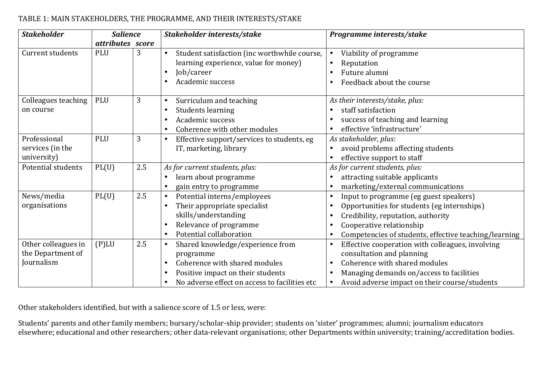| <b>Stakeholder</b>  | <b>Salience</b>  |     | Stakeholder interests/stake                               | Programme interests/stake                                          |  |
|---------------------|------------------|-----|-----------------------------------------------------------|--------------------------------------------------------------------|--|
|                     | attributes score |     |                                                           |                                                                    |  |
| Current students    | <b>PLU</b>       | 3   | Student satisfaction (inc worthwhile course,<br>$\bullet$ | Viability of programme<br>$\bullet$                                |  |
|                     |                  |     | learning experience, value for money)                     | Reputation<br>$\bullet$                                            |  |
|                     |                  |     | Job/career                                                | Future alumni<br>$\bullet$                                         |  |
|                     |                  |     | Academic success                                          | Feedback about the course<br>$\bullet$                             |  |
| Colleagues teaching | PLU              | 3   | Surriculum and teaching                                   | As their interests/stake, plus:                                    |  |
| on course           |                  |     | <b>Students learning</b>                                  | staff satisfaction<br>$\bullet$                                    |  |
|                     |                  |     | Academic success                                          | success of teaching and learning<br>$\bullet$                      |  |
|                     |                  |     | Coherence with other modules                              | effective 'infrastructure'<br>$\bullet$                            |  |
| Professional        | <b>PLU</b>       | 3   | Effective support/services to students, eg                | As stakeholder, plus:                                              |  |
| services (in the    |                  |     | IT, marketing, library                                    | avoid problems affecting students<br>$\bullet$                     |  |
| university)         |                  |     |                                                           | effective support to staff<br>$\bullet$                            |  |
| Potential students  | PL(U)            | 2.5 | As for current students, plus:                            | As for current students, plus:                                     |  |
|                     |                  |     | learn about programme                                     | attracting suitable applicants<br>$\bullet$                        |  |
|                     |                  |     | gain entry to programme                                   | marketing/external communications<br>$\bullet$                     |  |
| News/media          | PL(U)            | 2.5 | Potential interns/employees<br>$\bullet$                  | Input to programme (eg guest speakers)<br>$\bullet$                |  |
| organisations       |                  |     | Their appropriate specialist                              | Opportunities for students (eg internships)<br>$\bullet$           |  |
|                     |                  |     | skills/understanding                                      | Credibility, reputation, authority<br>$\bullet$                    |  |
|                     |                  |     | Relevance of programme                                    | Cooperative relationship<br>$\bullet$                              |  |
|                     |                  |     | Potential collaboration<br>$\bullet$                      | Competencies of students, effective teaching/learning<br>$\bullet$ |  |
| Other colleagues in | $(P)$ LU         | 2.5 | Shared knowledge/experience from<br>$\bullet$             | Effective cooperation with colleagues, involving<br>$\bullet$      |  |
| the Department of   |                  |     | programme                                                 | consultation and planning                                          |  |
| Journalism          |                  |     | Coherence with shared modules                             | Coherence with shared modules<br>$\bullet$                         |  |
|                     |                  |     | Positive impact on their students                         | Managing demands on/access to facilities<br>$\bullet$              |  |
|                     |                  |     | No adverse effect on access to facilities etc             | Avoid adverse impact on their course/students<br>$\bullet$         |  |

## TABLE 1: MAIN STAKEHOLDERS, THE PROGRAMME, AND THEIR INTERESTS/STAKE

Other stakeholders identified, but with a salience score of 1.5 or less, were:

Students' parents and other family members; bursary/scholar-ship provider; students on 'sister' programmes; alumni; journalism educators elsewhere; educational and other researchers; other data-relevant organisations; other Departments within university; training/accreditation bodies.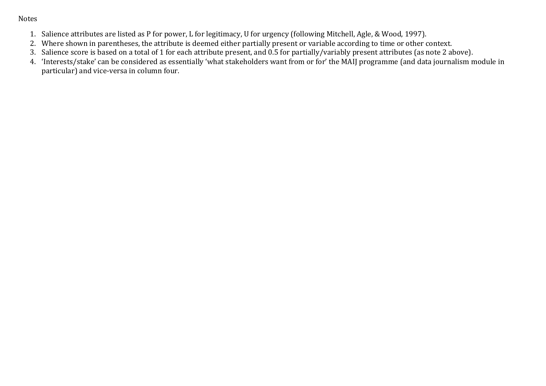#### Notes

- 1. Salience attributes are listed as P for power, L for legitimacy, U for urgency (following Mitchell, Agle, & Wood, 1997).
- 2. Where shown in parentheses, the attribute is deemed either partially present or variable according to time or other context.
- 3. Salience score is based on a total of 1 for each attribute present, and 0.5 for partially/variably present attributes (as note 2 above).
- 4. 'Interests/stake' can be considered as essentially 'what stakeholders want from or for' the MAIJ programme (and data journalism module in particular) and vice-versa in column four.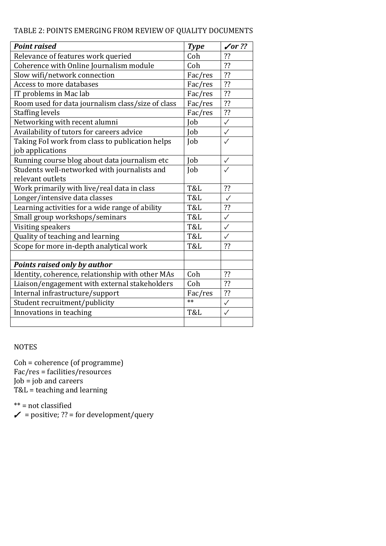## TABLE 2: POINTS EMERGING FROM REVIEW OF QUALITY DOCUMENTS

| <b>Point raised</b>                               | <b>Type</b>    | $\sqrt{or}$ ?? |
|---------------------------------------------------|----------------|----------------|
| Relevance of features work queried                | Coh            | ??             |
| Coherence with Online Journalism module           | Coh            | ??             |
| Slow wifi/network connection                      | Fac/res        | ??             |
| Access to more databases                          | Fac/res        | ??             |
| IT problems in Mac lab                            | Fac/res        | ??             |
| Room used for data journalism class/size of class | Fac/res        | ??             |
| <b>Staffing levels</b>                            | Fac/res        | ??             |
| Networking with recent alumni                     | Job            | $\checkmark$   |
| Availability of tutors for careers advice         | Job            | $\checkmark$   |
| Taking FoI work from class to publication helps   | Job            | $\checkmark$   |
| job applications                                  |                |                |
| Running course blog about data journalism etc     | Job            | $\checkmark$   |
| Students well-networked with journalists and      | Job            | $\checkmark$   |
| relevant outlets                                  |                |                |
| Work primarily with live/real data in class       | T&L            | ??             |
| Longer/intensive data classes                     | T&L            | $\checkmark$   |
| Learning activities for a wide range of ability   | <b>T&amp;L</b> | ??             |
| Small group workshops/seminars                    | T&L            | $\checkmark$   |
| Visiting speakers                                 | <b>T&amp;L</b> | $\checkmark$   |
| Quality of teaching and learning                  | T&L            | $\checkmark$   |
| Scope for more in-depth analytical work           | T&L            | ??             |
|                                                   |                |                |
| Points raised only by author                      |                |                |
| Identity, coherence, relationship with other MAs  | Coh            | ??             |
| Liaison/engagement with external stakeholders     | Coh            | ??             |
| Internal infrastructure/support                   | Fac/res        | $^{22}$        |
| Student recruitment/publicity                     | $**$           | $\checkmark$   |
| Innovations in teaching                           | T&L            | $\checkmark$   |
|                                                   |                |                |

#### **NOTES**

Coh = coherence (of programme)  $Fac/res = facilities/resources$  $\int$ ob =  $\int$ job and careers  $T&L = \text{teaching}$  and learning

 $***$  = not classified

 $\angle$  = positive; ?? = for development/query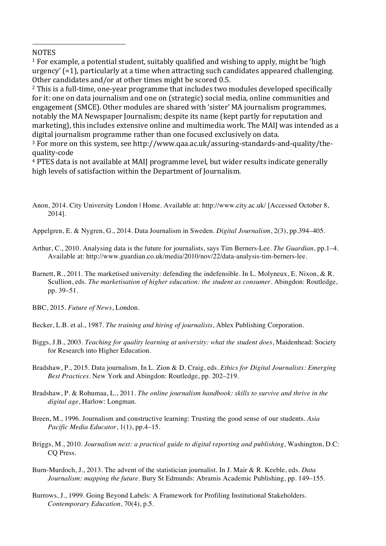#### **NOTES**

 

 $1$  For example, a potential student, suitably qualified and wishing to apply, might be 'high urgency'  $(=1)$ , particularly at a time when attracting such candidates appeared challenging. Other candidates and/or at other times might be scored 0.5.

 $2$  This is a full-time, one-year programme that includes two modules developed specifically for it: one on data journalism and one on (strategic) social media, online communities and engagement (SMCE). Other modules are shared with 'sister' MA journalism programmes, notably the MA Newspaper Journalism; despite its name (kept partly for reputation and marketing), this includes extensive online and multimedia work. The MAIJ was intended as a digital journalism programme rather than one focused exclusively on data.

<sup>3</sup> For more on this system, see http://www.qaa.ac.uk/assuring-standards-and-quality/thequality-code

<sup>4</sup> PTES data is not available at MAIJ programme level, but wider results indicate generally high levels of satisfaction within the Department of Journalism.

Anon, 2014. City University London | Home. Available at: http://www.city.ac.uk/ [Accessed October 8, 2014].

Appelgren, E. & Nygren, G., 2014. Data Journalism in Sweden. *Digital Journalism*, 2(3), pp.394–405.

- Arthur, C., 2010. Analysing data is the future for journalists, says Tim Berners-Lee. *The Guardian*, pp.1–4. Available at: http://www.guardian.co.uk/media/2010/nov/22/data-analysis-tim-berners-lee.
- Barnett, R., 2011. The marketised university: defending the indefensible. In L. Molyneux, E. Nixon, & R. Scullion, eds. *The marketisation of higher education: the student as consumer*. Abingdon: Routledge, pp. 39–51.
- BBC, 2015. *Future of News*, London.

Becker, L.B. et al., 1987. *The training and hiring of journalists*, Ablex Publishing Corporation.

- Biggs, J.B., 2003. *Teaching for quality learning at university: what the student does*, Maidenhead: Society for Research into Higher Education.
- Bradshaw, P., 2015. Data journalism. In L. Zion & D. Craig, eds. *Ethics for Digital Journalists: Emerging Best Practices*. New York and Abingdon: Routledge, pp. 202–219.
- Bradshaw, P. & Rohumaa, L., 2011. *The online journalism handbook: skills to survive and thrive in the digital age*, Harlow: Longman.
- Breen, M., 1996. Journalism and constructive learning: Trusting the good sense of our students. *Asia Pacific Media Educator*, 1(1), pp.4–15.
- Briggs, M., 2010. *Journalism next: a practical guide to digital reporting and publishing*, Washington, D.C: CQ Press.
- Burn-Murdoch, J., 2013. The advent of the statistician journalist. In J. Mair & R. Keeble, eds. *Data Journalism: mapping the future*. Bury St Edmunds: Abramis Academic Publishing, pp. 149–155.
- Burrows, J., 1999. Going Beyond Labels: A Framework for Profiling Institutional Stakeholders. *Contemporary Education*, 70(4), p.5.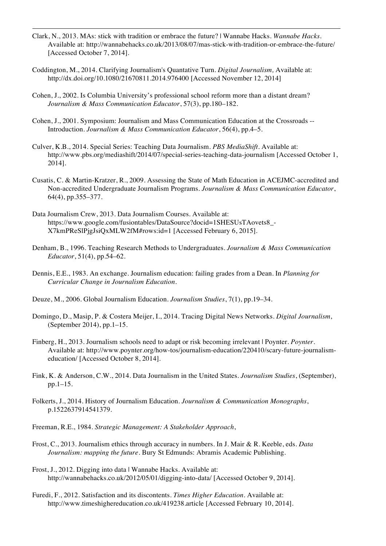Clark, N., 2013. MAs: stick with tradition or embrace the future? | Wannabe Hacks. *Wannabe Hacks*. Available at: http://wannabehacks.co.uk/2013/08/07/mas-stick-with-tradition-or-embrace-the-future/ [Accessed October 7, 2014].

<u> 1989 - Andrea Santa Andrea Andrea Andrea Andrea Andrea Andrea Andrea Andrea Andrea Andrea Andrea Andrea Andr</u>

- Coddington, M., 2014. Clarifying Journalism's Quantative Turn. *Digital Journalism,* Available at: http://dx.doi.org/10.1080/21670811.2014.976400 [Accessed November 12, 2014]
- Cohen, J., 2002. Is Columbia University's professional school reform more than a distant dream? *Journalism & Mass Communication Educator*, 57(3), pp.180–182.
- Cohen, J., 2001. Symposium: Journalism and Mass Communication Education at the Crossroads -- Introduction. *Journalism & Mass Communication Educator*, 56(4), pp.4–5.
- Culver, K.B., 2014. Special Series: Teaching Data Journalism. *PBS MediaShift*. Available at: http://www.pbs.org/mediashift/2014/07/special-series-teaching-data-journalism [Accessed October 1, 2014].
- Cusatis, C. & Martin-Kratzer, R., 2009. Assessing the State of Math Education in ACEJMC-accredited and Non-accredited Undergraduate Journalism Programs. *Journalism & Mass Communication Educator*, 64(4), pp.355–377.
- Data Journalism Crew, 2013. Data Journalism Courses. Available at: https://www.google.com/fusiontables/DataSource?docid=1SHESUsTAovets8\_- X7kmPReSlPjgJsiQxMLW2fM#rows:id=1 [Accessed February 6, 2015].
- Denham, B., 1996. Teaching Research Methods to Undergraduates. *Journalism & Mass Communication Educator*, 51(4), pp.54–62.
- Dennis, E.E., 1983. An exchange. Journalism education: failing grades from a Dean. In *Planning for Curricular Change in Journalism Education*.
- Deuze, M., 2006. Global Journalism Education. *Journalism Studies*, 7(1), pp.19–34.
- Domingo, D., Masip, P. & Costera Meijer, I., 2014. Tracing Digital News Networks. *Digital Journalism*, (September 2014), pp.1–15.
- Finberg, H., 2013. Journalism schools need to adapt or risk becoming irrelevant | Poynter. *Poynter*. Available at: http://www.poynter.org/how-tos/journalism-education/220410/scary-future-journalismeducation/ [Accessed October 8, 2014].
- Fink, K. & Anderson, C.W., 2014. Data Journalism in the United States. *Journalism Studies*, (September), pp.1–15.
- Folkerts, J., 2014. History of Journalism Education. *Journalism & Communication Monographs*, p.1522637914541379.
- Freeman, R.E., 1984. *Strategic Management: A Stakeholder Approach*,
- Frost, C., 2013. Journalism ethics through accuracy in numbers. In J. Mair & R. Keeble, eds. *Data Journalism: mapping the future*. Bury St Edmunds: Abramis Academic Publishing.
- Frost, J., 2012. Digging into data | Wannabe Hacks. Available at: http://wannabehacks.co.uk/2012/05/01/digging-into-data/ [Accessed October 9, 2014].
- Furedi, F., 2012. Satisfaction and its discontents. *Times Higher Education*. Available at: http://www.timeshighereducation.co.uk/419238.article [Accessed February 10, 2014].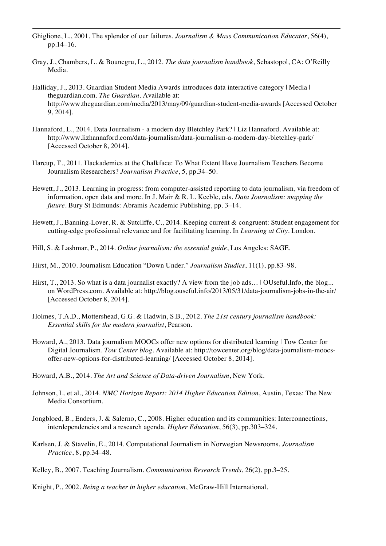Ghiglione, L., 2001. The splendor of our failures. *Journalism & Mass Communication Educator*, 56(4), pp.14–16.

<u> 1989 - Andrea Santa Andrea Andrea Andrea Andrea Andrea Andrea Andrea Andrea Andrea Andrea Andrea Andrea Andr</u>

- Gray, J., Chambers, L. & Bounegru, L., 2012. *The data journalism handbook*, Sebastopol, CA: O'Reilly Media.
- Halliday, J., 2013. Guardian Student Media Awards introduces data interactive category | Media | theguardian.com. *The Guardian*. Available at: http://www.theguardian.com/media/2013/may/09/guardian-student-media-awards [Accessed October 9, 2014].
- Hannaford, L., 2014. Data Journalism a modern day Bletchley Park? | Liz Hannaford. Available at: http://www.lizhannaford.com/data-journalism/data-journalism-a-modern-day-bletchley-park/ [Accessed October 8, 2014].
- Harcup, T., 2011. Hackademics at the Chalkface: To What Extent Have Journalism Teachers Become Journalism Researchers? *Journalism Practice*, 5, pp.34–50.
- Hewett, J., 2013. Learning in progress: from computer-assisted reporting to data journalism, via freedom of information, open data and more. In J. Mair & R. L. Keeble, eds. *Data Journalism: mapping the future*. Bury St Edmunds: Abramis Academic Publishing, pp. 3–14.
- Hewett, J., Banning-Lover, R. & Sutcliffe, C., 2014. Keeping current & congruent: Student engagement for cutting-edge professional relevance and for facilitating learning. In *Learning at City*. London.
- Hill, S. & Lashmar, P., 2014. *Online journalism: the essential guide*, Los Angeles: SAGE.
- Hirst, M., 2010. Journalism Education "Down Under." *Journalism Studies*, 11(1), pp.83–98.
- Hirst, T., 2013. So what is a data journalist exactly? A view from the job ads... | OUseful.Info, the blog... on WordPress.com. Available at: http://blog.ouseful.info/2013/05/31/data-journalism-jobs-in-the-air/ [Accessed October 8, 2014].
- Holmes, T.A.D., Mottershead, G.G. & Hadwin, S.B., 2012. *The 21st century journalism handbook: Essential skills for the modern journalist*, Pearson.
- Howard, A., 2013. Data journalism MOOCs offer new options for distributed learning | Tow Center for Digital Journalism. *Tow Center blog*. Available at: http://towcenter.org/blog/data-journalism-moocsoffer-new-options-for-distributed-learning/ [Accessed October 8, 2014].
- Howard, A.B., 2014. *The Art and Science of Data-driven Journalism*, New York.
- Johnson, L. et al., 2014. *NMC Horizon Report: 2014 Higher Education Edition*, Austin, Texas: The New Media Consortium.
- Jongbloed, B., Enders, J. & Salerno, C., 2008. Higher education and its communities: Interconnections, interdependencies and a research agenda. *Higher Education*, 56(3), pp.303–324.
- Karlsen, J. & Stavelin, E., 2014. Computational Journalism in Norwegian Newsrooms. *Journalism Practice*, 8, pp.34–48.
- Kelley, B., 2007. Teaching Journalism. *Communication Research Trends*, 26(2), pp.3–25.
- Knight, P., 2002. *Being a teacher in higher education*, McGraw-Hill International.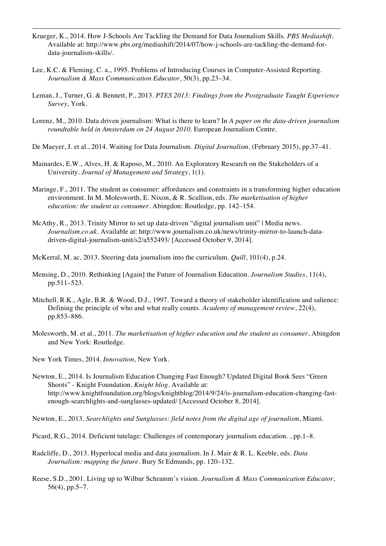Krueger, K., 2014. How J-Schools Are Tackling the Demand for Data Journalism Skills. *PBS Mediashift*. Available at: http://www.pbs.org/mediashift/2014/07/how-j-schools-are-tackling-the-demand-fordata-journalism-skills/.

<u> 1989 - Andrea Santa Andrea Andrea Andrea Andrea Andrea Andrea Andrea Andrea Andrea Andrea Andrea Andrea Andr</u>

- Lee, K.C. & Fleming, C. a., 1995. Problems of Introducing Courses in Computer-Assisted Reporting. *Journalism & Mass Communication Educator*, 50(3), pp.23–34.
- Leman, J., Turner, G. & Bennett, P., 2013. *PTES 2013: Findings from the Postgraduate Taught Experience Survey*, York.
- Lorenz, M., 2010. Data driven journalism: What is there to learn? In *A paper on the data-driven journalism roundtable held in Amsterdam on 24 August 2010*. European Journalism Centre.
- De Maeyer, J. et al., 2014. Waiting for Data Journalism. *Digital Journalism*, (February 2015), pp.37–41.
- Mainardes, E.W., Alves, H. & Raposo, M., 2010. An Exploratory Research on the Stakeholders of a University. *Journal of Management and Strategy*, 1(1).
- Maringe, F., 2011. The student as consumer: affordances and constraints in a transforming higher education environment. In M. Molesworth, E. Nixon, & R. Scullion, eds. *The marketisation of higher education: the student as consumer*. Abingdon: Routledge, pp. 142–154.
- McAthy, R., 2013. Trinity Mirror to set up data-driven "digital journalism unit" | Media news. *Journalism.co.uk*. Available at: http://www.journalism.co.uk/news/trinity-mirror-to-launch-datadriven-digital-journalism-unit/s2/a552493/ [Accessed October 9, 2014].
- McKerral, M. ac, 2013. Steering data journalism into the curriculum. *Quill*, 101(4), p.24.
- Mensing, D., 2010. Rethinking [Again] the Future of Journalism Education. *Journalism Studies*, 11(4), pp.511–523.
- Mitchell, R.K., Agle, B.R. & Wood, D.J., 1997. Toward a theory of stakeholder identification and salience: Defining the principle of who and what really counts. *Academy of management review*, 22(4), pp.853–886.
- Molesworth, M. et al., 2011. *The marketisation of higher education and the student as consumer*, Abingdon and New York: Routledge.
- New York Times, 2014. *Innovation*, New York.
- Newton, E., 2014. Is Journalism Education Changing Fast Enough? Updated Digital Book Sees "Green Shoots" - Knight Foundation. *Knight blog*. Available at: http://www.knightfoundation.org/blogs/knightblog/2014/9/24/is-journalism-education-changing-fastenough-searchlights-and-sunglasses-updated/ [Accessed October 8, 2014].

Newton, E., 2013. *Searchlights and Sunglasses: field notes from the digital age of journalism*, Miami.

- Picard, R.G., 2014. Deficient tutelage: Challenges of contemporary journalism education. , pp.1–8.
- Radcliffe, D., 2013. Hyperlocal media and data journalism. In J. Mair & R. L. Keeble, eds. *Data Journalism: mapping the future*. Bury St Edmunds, pp. 120–132.
- Reese, S.D., 2001. Living up to Wilbur Schramm's vision. *Journalism & Mass Communication Educator*, 56(4), pp.5–7.